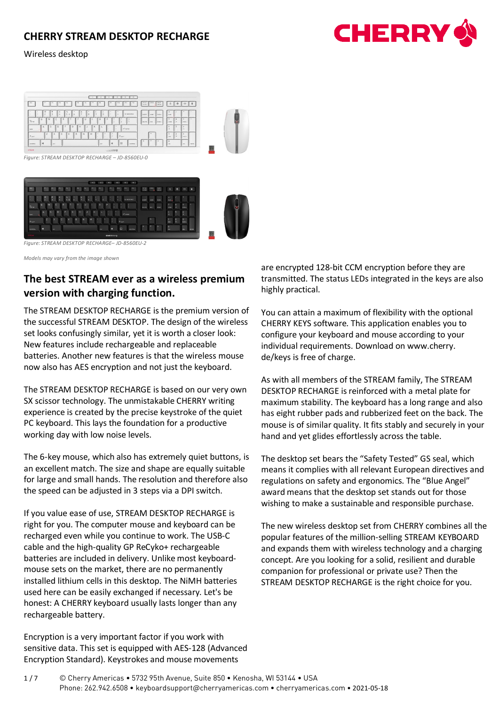### Wireless desktop







*Figure: STREAM DESKTOP RECHARGE– JD-8560EU-2* 

*Models may vary from the image shown*

# **The best STREAM ever as a wireless premium version with charging function.**

The STREAM DESKTOP RECHARGE is the premium version of the successful STREAM DESKTOP. The design of the wireless set looks confusingly similar, yet it is worth a closer look: New features include rechargeable and replaceable batteries. Another new features is that the wireless mouse now also has AES encryption and not just the keyboard.

The STREAM DESKTOP RECHARGE is based on our very own SX scissor technology. The unmistakable CHERRY writing experience is created by the precise keystroke of the quiet PC keyboard. This lays the foundation for a productive working day with low noise levels.

The 6-key mouse, which also has extremely quiet buttons, is an excellent match. The size and shape are equally suitable for large and small hands. The resolution and therefore also the speed can be adjusted in 3 steps via a DPI switch.

If you value ease of use, STREAM DESKTOP RECHARGE is right for you. The computer mouse and keyboard can be recharged even while you continue to work. The USB-C cable and the high-quality GP ReCyko+ rechargeable batteries are included in delivery. Unlike most keyboardmouse sets on the market, there are no permanently installed lithium cells in this desktop. The NiMH batteries used here can be easily exchanged if necessary. Let's be honest: A CHERRY keyboard usually lasts longer than any rechargeable battery.

Encryption is a very important factor if you work with sensitive data. This set is equipped with AES-128 (Advanced Encryption Standard). Keystrokes and mouse movements

are encrypted 128-bit CCM encryption before they are transmitted. The status LEDs integrated in the keys are also highly practical.

You can attain a maximum of flexibility with the optional CHERRY KEYS software. This application enables you to configure your keyboard and mouse according to your individual requirements. Download on www.cherry. de/keys is free of charge.

As with all members of the STREAM family, The STREAM DESKTOP RECHARGE is reinforced with a metal plate for maximum stability. The keyboard has a long range and also has eight rubber pads and rubberized feet on the back. The mouse is of similar quality. It fits stably and securely in your hand and yet glides effortlessly across the table.

The desktop set bears the "Safety Tested" GS seal, which means it complies with all relevant European directives and regulations on safety and ergonomics. The "Blue Angel" award means that the desktop set stands out for those wishing to make a sustainable and responsible purchase.

The new wireless desktop set from CHERRY combines all the popular features of the million-selling STREAM KEYBOARD and expands them with wireless technology and a charging concept. Are you looking for a solid, resilient and durable companion for professional or private use? Then the STREAM DESKTOP RECHARGE is the right choice for you.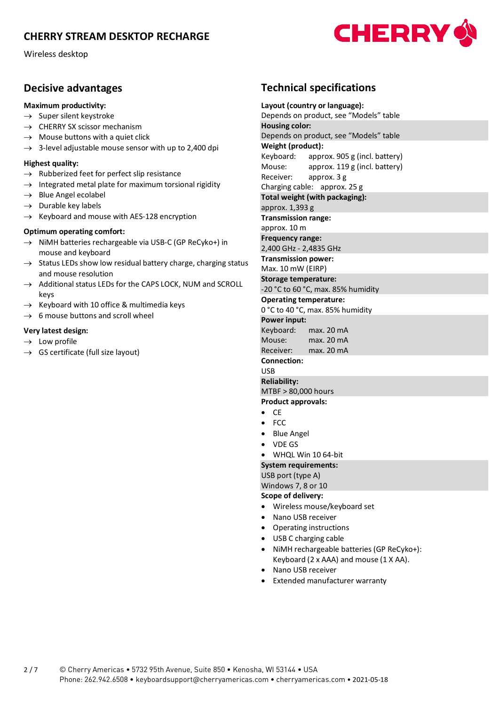Wireless desktop

### **Decisive advantages**

### **Maximum productivity:**

- $\rightarrow$  Super silent keystroke
- $\rightarrow$  CHERRY SX scissor mechanism
- $\rightarrow$  Mouse buttons with a quiet click
- $\rightarrow$  3-level adjustable mouse sensor with up to 2,400 dpi

### **Highest quality:**

- $\rightarrow$  Rubberized feet for perfect slip resistance
- $\rightarrow$  Integrated metal plate for maximum torsional rigidity
- $\rightarrow$  Blue Angel ecolabel
- $\rightarrow$  Durable key labels
- $\rightarrow$  Keyboard and mouse with AES-128 encryption

### **Optimum operating comfort:**

- $\rightarrow$  NiMH batteries rechargeable via USB-C (GP ReCyko+) in mouse and keyboard
- $\rightarrow$  Status LEDs show low residual battery charge, charging status and mouse resolution
- $\rightarrow$  Additional status LEDs for the CAPS LOCK, NUM and SCROLL keys
- $\rightarrow$  Keyboard with 10 office & multimedia keys
- $\rightarrow$  6 mouse buttons and scroll wheel

### **Very latest design:**

- $\rightarrow$  Low profile
- $\rightarrow$  GS certificate (full size layout)

# **Technical specifications**

**CHERRY** 

**Layout (country or language):** Depends on product, see "Models" table **Housing color:** Depends on product, see "Models" table **Weight (product):** Keyboard: approx. 905 g (incl. battery) Mouse: approx. 119 g (incl. battery) Receiver: approx. 3 g Charging cable: approx. 25 g **Total weight (with packaging):** approx. 1,393 g **Transmission range:** approx. 10 m **Frequency range:** 2,400 GHz - 2,4835 GHz **Transmission power:** Max. 10 mW (EIRP) **Storage temperature:** -20 °C to 60 °C, max. 85% humidity **Operating temperature:** 0 °C to 40 °C, max. 85% humidity **Power input:** Keyboard: max. 20 mA Mouse: max. 20 mA Receiver: max. 20 mA **Connection:**  USB **Reliability:** MTBF > 80,000 hours **Product approvals:** • CE • FCC • Blue Angel • VDE GS • WHQL Win 10 64-bit **System requirements:** USB port (type A) Windows 7, 8 or 10 **Scope of delivery:** • Wireless mouse/keyboard set • Nano USB receiver • Operating instructions • USB C charging cable • NiMH rechargeable batteries (GP ReCyko+): Keyboard (2 x AAA) and mouse (1 X AA). • Nano USB receiver • Extended manufacturer warranty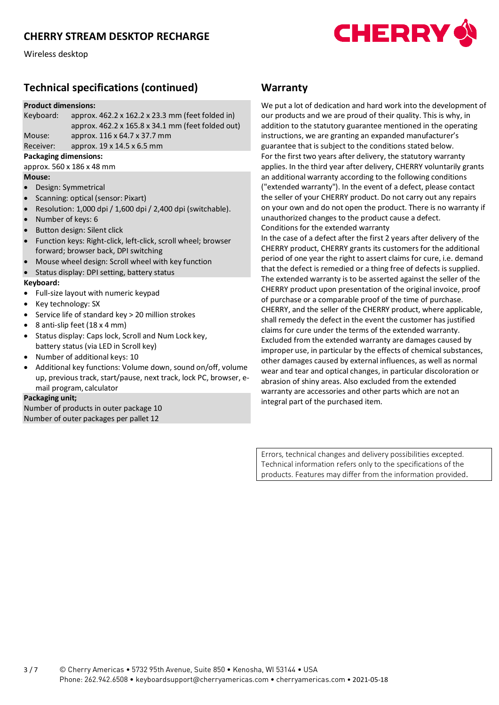

Wireless desktop

# **Technical specifications (continued)**

#### **Product dimensions:**

| Keyboard: | approx. $462.2 \times 162.2 \times 23.3$ mm (feet folded in)  |
|-----------|---------------------------------------------------------------|
|           | approx. $462.2 \times 165.8 \times 34.1$ mm (feet folded out) |
| Mouse:    | approx. 116 x 64.7 x 37.7 mm                                  |
| Receiver: | approx. 19 x 14.5 x 6.5 mm                                    |

### **Packaging dimensions:**

approx. 560 x 186 x 48 mm **Mouse:**

- Design: Symmetrical
- Scanning: optical (sensor: Pixart)
- Resolution: 1,000 dpi / 1,600 dpi / 2,400 dpi (switchable).
- Number of keys: 6
- Button design: Silent click
- Function keys: Right-click, left-click, scroll wheel; browser forward; browser back, DPI switching
- Mouse wheel design: Scroll wheel with key function
- Status display: DPI setting, battery status

#### **Keyboard:**

- Full-size layout with numeric keypad
- Key technology: SX
- Service life of standard key > 20 million strokes
- 8 anti-slip feet (18 x 4 mm)
- Status display: Caps lock, Scroll and Num Lock key, battery status (via LED in Scroll key)
- Number of additional keys: 10
- Additional key functions: Volume down, sound on/off, volume up, previous track, start/pause, next track, lock PC, browser, email program, calculator

### **Packaging unit;**

Number of products in outer package 10 Number of outer packages per pallet 12

### **Warranty**

We put a lot of dedication and hard work into the development of our products and we are proud of their quality. This is why, in addition to the statutory guarantee mentioned in the operating instructions, we are granting an expanded manufacturer's guarantee that is subject to the conditions stated below. For the first two years after delivery, the statutory warranty applies. In the third year after delivery, CHERRY voluntarily grants an additional warranty according to the following conditions ("extended warranty"). In the event of a defect, please contact the seller of your CHERRY product. Do not carry out any repairs on your own and do not open the product. There is no warranty if unauthorized changes to the product cause a defect. Conditions for the extended warranty

In the case of a defect after the first 2 years after delivery of the CHERRY product, CHERRY grants its customers for the additional period of one year the right to assert claims for cure, i.e. demand that the defect is remedied or a thing free of defects is supplied. The extended warranty is to be asserted against the seller of the CHERRY product upon presentation of the original invoice, proof of purchase or a comparable proof of the time of purchase. CHERRY, and the seller of the CHERRY product, where applicable, shall remedy the defect in the event the customer has justified claims for cure under the terms of the extended warranty. Excluded from the extended warranty are damages caused by improper use, in particular by the effects of chemical substances, other damages caused by external influences, as well as normal wear and tear and optical changes, in particular discoloration or abrasion of shiny areas. Also excluded from the extended warranty are accessories and other parts which are not an integral part of the purchased item.

Errors, technical changes and delivery possibilities excepted. Technical information refers only to the specifications of the products. Features may differ from the information provided.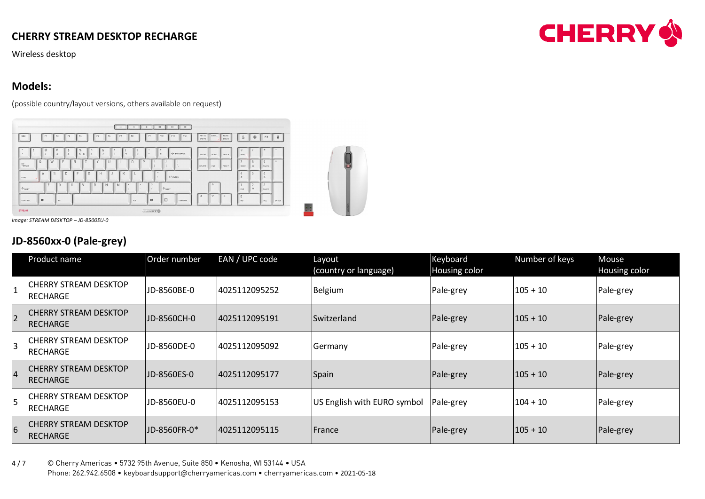Wireless desktop

# **Models:**

(possible country/layout versions, others available on request)



*Image: STREAM DESKTOP – JD-8500EU-0*

# **JD-8560xx-0 (Pale-grey)**

|                 | Product name                              | Order number | EAN / UPC code | Layout                      | Keyboard      | Number of keys | <b>Mouse</b>  |
|-----------------|-------------------------------------------|--------------|----------------|-----------------------------|---------------|----------------|---------------|
|                 |                                           |              |                | (country or language)       | Housing color |                | Housing color |
|                 | CHERRY STREAM DESKTOP<br>RECHARGE         | JD-8560BE-0  | 4025112095252  | Belgium                     | Pale-grey     | $105 + 10$     | Pale-grey     |
| $\overline{2}$  | <b>ICHERRY STREAM DESKTOP</b><br>RECHARGE | JD-8560CH-0  | 4025112095191  | Switzerland                 | Pale-grey     | $105 + 10$     | Pale-grey     |
| 3               | CHERRY STREAM DESKTOP<br>RECHARGE         | JD-8560DE-0  | 4025112095092  | Germany                     | Pale-grey     | $105 + 10$     | Pale-grey     |
| $\overline{4}$  | <b>CHERRY STREAM DESKTOP</b><br>RECHARGE  | JD-8560ES-0  | 4025112095177  | Spain                       | Pale-grey     | $105+10$       | Pale-grey     |
| 5               | <b>CHERRY STREAM DESKTOP</b><br>RECHARGE  | JD-8560EU-0  | 4025112095153  | US English with EURO symbol | Pale-grey     | $104 + 10$     | Pale-grey     |
| $6\overline{6}$ | <b>CHERRY STREAM DESKTOP</b><br>RECHARGE  | JD-8560FR-0* | 4025112095115  | France                      | Pale-grey     | $105 + 10$     | Pale-grey     |

4 / 7 © Cherry Americas • 5732 95th Avenue, Suite 850 • Kenosha, WI 53144 • USA Phone: 262.942.6508 • keyboardsupport@cherryamericas.com • cherryamericas.com • 2021-05-18

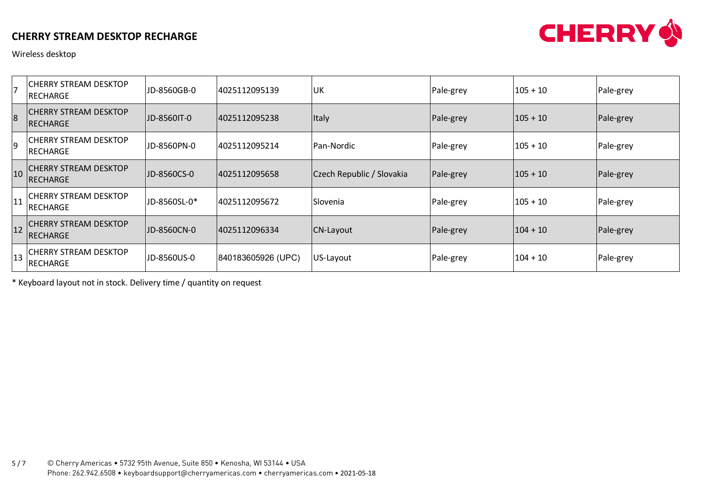

Wireless desktop

| $\overline{\phantom{a}}$ | <b>CHERRY STREAM DESKTOP</b><br>RECHARGE         | JD-8560GB-0  | 4025112095139      | UK                        | Pale-grey | 105 + 10   | Pale-grey |
|--------------------------|--------------------------------------------------|--------------|--------------------|---------------------------|-----------|------------|-----------|
| $\overline{8}$           | <b>CHERRY STREAM DESKTOP</b><br>RECHARGE         | JD-8560IT-0  | 4025112095238      | Italy                     | Pale-grey | $105 + 10$ | Pale-grey |
| 9                        | <b>CHERRY STREAM DESKTOP</b><br>RECHARGE         | JD-8560PN-0  | 4025112095214      | Pan-Nordic                | Pale-grey | $105 + 10$ | Pale-grey |
| 10                       | <b>CHERRY STREAM DESKTOP</b><br><b>IRECHARGE</b> | JD-8560CS-0  | 4025112095658      | Czech Republic / Slovakia | Pale-grey | $105+10$   | Pale-grey |
| 11                       | CHERRY STREAM DESKTOP<br><b>IRECHARGE</b>        | JD-8560SL-0* | 4025112095672      | Slovenia                  | Pale-grey | $105 + 10$ | Pale-grey |
| 12                       | <b>CHERRY STREAM DESKTOP</b><br><b>RECHARGE</b>  | JD-8560CN-0  | 4025112096334      | CN-Layout                 | Pale-grey | $104 + 10$ | Pale-grey |
| 13                       | ICHERRY STREAM DESKTOP<br><b>RECHARGE</b>        | JD-8560US-0  | 840183605926 (UPC) | US-Layout                 | Pale-grey | $104 + 10$ | Pale-grey |

\* Keyboard layout not in stock. Delivery time / quantity on request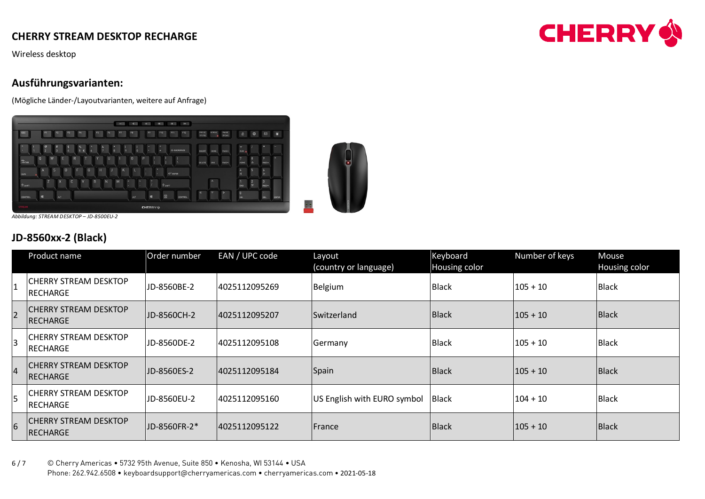Wireless desktop

### **Ausführungsvarianten:**

(Mögliche Länder-/Layoutvarianten, weitere auf Anfrage)



*Abbildung: STREAM DESKTOP – JD-8500EU-2*

# **JD-8560xx-2 (Black)**

|                 | Product name                             | Order number | EAN / UPC code | Layout<br>(country or language) | Keyboard<br>Housing color | Number of keys | Mouse<br>Housing color |
|-----------------|------------------------------------------|--------------|----------------|---------------------------------|---------------------------|----------------|------------------------|
|                 | <b>CHERRY STREAM DESKTOP</b><br>RECHARGE | JD-8560BE-2  | 4025112095269  | Belgium                         | <b>Black</b>              | $105 + 10$     | <b>Black</b>           |
| $\overline{2}$  | <b>CHERRY STREAM DESKTOP</b><br>RECHARGE | JD-8560CH-2  | 4025112095207  | Switzerland                     | Black                     | $105 + 10$     | Black                  |
| $\overline{3}$  | CHERRY STREAM DESKTOP<br><b>RECHARGE</b> | JD-8560DE-2  | 4025112095108  | Germany                         | <b>Black</b>              | $105 + 10$     | <b>Black</b>           |
| $\overline{4}$  | <b>CHERRY STREAM DESKTOP</b><br>RECHARGE | JD-8560ES-2  | 4025112095184  | Spain                           | Black                     | $105 + 10$     | Black                  |
| 5               | <b>CHERRY STREAM DESKTOP</b><br>RECHARGE | JD-8560EU-2  | 4025112095160  | US English with EURO symbol     | Black                     | $104 + 10$     | <b>Black</b>           |
| $6\overline{6}$ | <b>CHERRY STREAM DESKTOP</b><br>RECHARGE | JD-8560FR-2* | 4025112095122  | France                          | Black                     | $105 + 10$     | Black                  |

6 / 7 © Cherry Americas • 5732 95th Avenue, Suite 850 • Kenosha, WI 53144 • USA Phone: 262.942.6508 • keyboardsupport@cherryamericas.com • cherryamericas.com • 2021-05-18